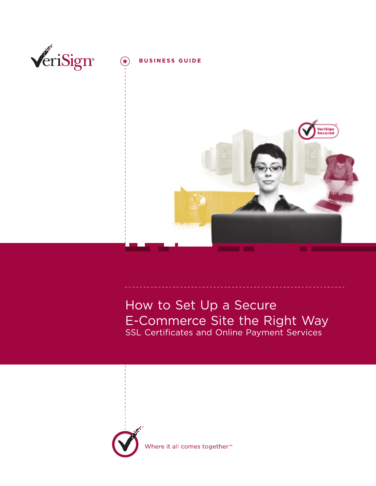



### How to Set Up a Secure E-Commerce Site the Right Way SSL Certificates and Online Payment Services



Where it all comes together.<mark>™</mark>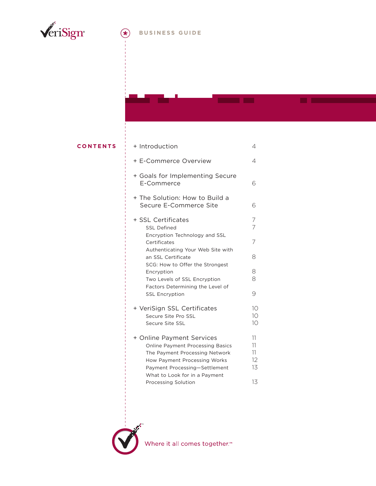

. .

| <b>CONTENTS</b> | + Introduction                                                                                                                                                                                                                  |                                                 |
|-----------------|---------------------------------------------------------------------------------------------------------------------------------------------------------------------------------------------------------------------------------|-------------------------------------------------|
|                 | + E-Commerce Overview                                                                                                                                                                                                           | 4                                               |
|                 | + Goals for Implementing Secure<br>E-Commerce                                                                                                                                                                                   | 6                                               |
|                 | + The Solution: How to Build a<br>Secure E-Commerce Site                                                                                                                                                                        | 6                                               |
|                 | + SSL Certificates<br><b>SSL Defined</b><br>Encryption Technology and SSL                                                                                                                                                       | 7<br>7                                          |
|                 | Certificates                                                                                                                                                                                                                    | 7                                               |
|                 | Authenticating Your Web Site with<br>an SSL Certificate<br>SCG: How to Offer the Strongest                                                                                                                                      | 8                                               |
|                 | Encryption                                                                                                                                                                                                                      | 8                                               |
|                 | Two Levels of SSL Encryption<br>Factors Determining the Level of                                                                                                                                                                | 8                                               |
|                 | <b>SSL Encryption</b>                                                                                                                                                                                                           | 9                                               |
|                 | + VeriSign SSL Certificates<br>Secure Site Pro SSL<br>Secure Site SSL                                                                                                                                                           | 10<br>10<br>10                                  |
|                 | + Online Payment Services<br><b>Online Payment Processing Basics</b><br>The Payment Processing Network<br>How Payment Processing Works<br>Payment Processing-Settlement<br>What to Look for in a Payment<br>Processing Solution | 11<br>11<br>11<br>$12 \overline{ }$<br>13<br>13 |
|                 |                                                                                                                                                                                                                                 |                                                 |

**The Company** 



Where it all comes together.<sup>™</sup>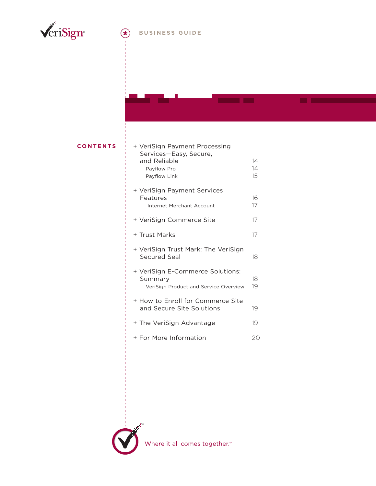

### **CONTENTS**

| + VeriSign Payment Processing<br>Services-Easy, Secure,<br>and Reliable<br>Payflow Pro<br>Payflow Link | 14<br>14<br>15 |
|--------------------------------------------------------------------------------------------------------|----------------|
| + VeriSign Payment Services<br>Features<br>Internet Merchant Account                                   | 16<br>17       |
| + VeriSign Commerce Site                                                                               | 17             |
| + Trust Marks                                                                                          | 17             |
| + VeriSign Trust Mark: The VeriSign<br>Secured Seal                                                    | 18             |
| + VeriSign E-Commerce Solutions:<br>Summary<br>VeriSign Product and Service Overview                   | 18<br>19       |
| + How to Enroll for Commerce Site<br>and Secure Site Solutions                                         | 19             |
| + The VeriSign Advantage                                                                               | 19             |
| + For More Information                                                                                 | 20             |

**Contract** 



Where it all comes together.<sup>™</sup>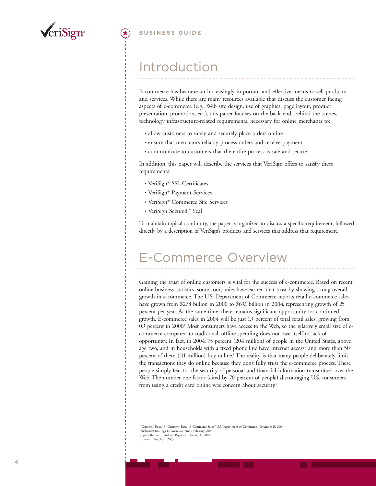

### Introduction

E-commerce has become an increasingly important and effective means to sell products and services. While there are many resources available that discuss the customer facing aspects of e-commerce (e.g., Web site design, use of graphics, page layout, product presentation, promotion, etc.), this paper focuses on the back-end, behind the scenes, technology infrastructure-related requirements, necessary for online merchants to:

- allow customers to safely and securely place orders online
- ensure that merchants reliably process orders and receive payment
- communicate to customers that the entire process is safe and secure

In addition, this paper will describe the services that VeriSign offers to satisfy these requirements:

- VeriSign® SSL Certificates
- VeriSign® Payment Services
- VeriSign® Commerce Site Services
- VeriSign Secured™ Seal

To maintain topical continuity, the paper is organized to discuss a specific requirement, followed directly by a description of VeriSign's products and services that address that requirement.

## E-Commerce Overview

Gaining the trust of online customers is vital for the success of e-commerce. Based on recent online business statistics, some companies have earned that trust by showing strong overall growth in e-commerce. The U.S. Department of Commerce reports retail e-commerce sales have grown from \$27.8 billion in 2000 to \$69.1 billion in 2004, representing growth of 25 percent per year. At the same time, there remains significant opportunity for continued growth. E-commerce sales in 2004 will be just 1.9 percent of total retail sales, growing from 0.9 percent in 2000.<sup>1</sup> Most consumers have access to the Web, so the relatively small size of ecommerce compared to traditional, offline spending does not owe itself to lack of opportunity. In fact, in 2004, 75 percent (204 million) of people in the United States, above age two, and in households with a fixed phone line have Internet access; and more than 50 percent of them (111 million) buy online.<sup>3</sup> The reality is that many people deliberately limit the transactions they do online because they don't fully trust the e-commerce process. These people simply fear for the security of personal and financial information transmitted over the Web. The number one factor (cited by 70 percent of people) discouraging U.S. consumers from using a credit card online was concern about security.<sup>4</sup>

<sup>1</sup> "Quarterly Retail E "Quarterly Retail E-Commerce Sales," U.S. Department of Commerce, November 19, 2004 <sup>2</sup> Nielsen/NetRatings Enumeration Study, February 2004 <sup>3</sup> Jupiter Research, cited in ePaynews, Feburary 19, 2004 <sup>4</sup> Payment One, April 2003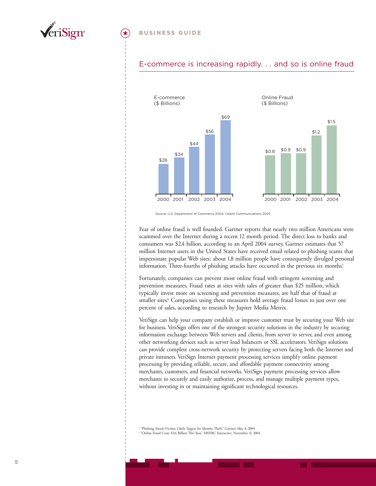



### E-commerce is increasing rapidly. . . and so is online fraud

Source: U.S. Department of Commerce 2004, Celent Communications 2003

Fear of online fraud is well founded. Gartner reports that nearly two million Americans were scammed over the Internet during a recent 12 month period. The direct loss to banks and consumers was \$2.4 billion, according to an April 2004 survey. Gartner estimates that 57 million Internet users in the United States have received email related to phishing scams that impersonate popular Web sites; about 1.8 million people have consequently divulged personal information. Three-fourths of phishing attacks have occurred in the previous six months?

Fortunately, companies can prevent most online fraud with stringent screening and prevention measures. Fraud rates at sites with sales of greater than \$25 million, which typically invest more on screening and prevention measures, are half that of fraud at smaller sites. <sup>6</sup> Companies using these measures hold average fraud losses to just over one percent of sales, according to research by Jupiter Media Metrix.

VeriSign can help your company establish or improve customer trust by securing your Web site for business. VeriSign offers one of the strongest security solutions in the industry by securing information exchange between Web servers and clients, from server to server, and even among other networking devices such as server load balancers or SSL accelerators. VeriSign solutions can provide complete cross-network security by protecting servers facing both the Internet and private intranets. VeriSign Internet payment processing services simplify online payment processing by providing reliable, secure, and affordable payment connectivity among merchants, customers, and financial networks. VeriSign payment processing services allow merchants to securely and easily authorize, process, and manage multiple payment types, without investing in or maintaining significant technological resources.

<sup>5 </sup>"Phishing Attack Victims Likely Targets for Identity Theft," Gartner, May 4, 2004<br><sup>6 </sup>"Online Fraud Costs \$2.6 Billion This Year," MSNBC Interactive, November 11, 2004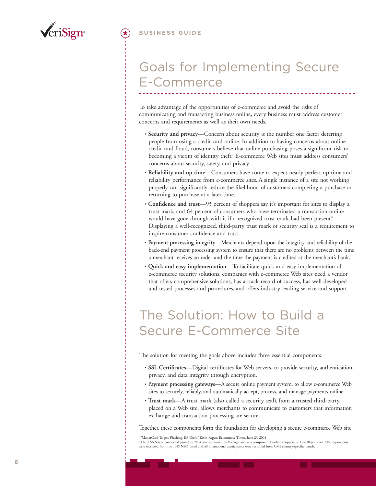

# Goals for Implementing Secure E-Commerce

To take advantage of the opportunities of e-commerce and avoid the risks of communicating and transacting business online, every business must address customer concerns and requirements as well as their own needs.

- **Security and privacy**—Concern about security is the number one factor deterring people from using a credit card online. In addition to having concerns about online credit card fraud, consumers believe that online purchasing poses a significant risk to becoming a victim of identity theft.<sup>7</sup> E-commerce Web sites must address consumers' concerns about security, safety, and privacy.
- **Reliability and up time**—Consumers have come to expect nearly perfect up time and reliability performance from e-commerce sites. A single instance of a site not working properly can significantly reduce the likelihood of customers completing a purchase or returning to purchase at a later time.
- **Confidence and trust**—93 percent of shoppers say it's important for sites to display a trust mark, and 64 percent of consumers who have terminated a transaction online would have gone through with it if a recognized trust mark had been present. 8 Displaying a well-recognized, third-party trust mark or security seal is a requirement to inspire consumer confidence and trust.
- **Payment processing integrity**—Merchants depend upon the integrity and reliability of the back-end payment processing system to ensure that there are no problems between the time a merchant receives an order and the time the payment is credited at the merchant's bank.
- **Quick and easy implementation**—To facilitate quick and easy implementation of e-commerce security solutions, companies with e-commerce Web sites need a vendor that offers comprehensive solutions, has a track record of success, has well developed and tested processes and procedures, and offers industry-leading service and support.

# The Solution: How to Build a Secure E-Commerce Site

The solution for meeting the goals above includes three essential components:

- **SSL Certificates—**Digital certificates for Web servers, to provide security, authentication, privacy, and data integrity through encryption.
- **Payment processing gateways—**A secure online payment system, to allow e-commerce Web sites to securely, reliably, and automatically accept, process, and manage payments online.
- **Trust mark—**A trust mark (also called a security seal), from a trusted third-party, placed on a Web site, allows merchants to communicate to customers that information exchange and transaction processing are secure.

Together, these components form the foundation for developing a secure e-commerce Web site.

<sup>&</sup>lt;sup>,</sup> "MasterCard Targets Phishing, ID Theft," Keith Regan, Ecommerce Times, June 23, 2004<br>" The TNS Study, conducted June-July 2004 was sponsored by VeriSign and was comprised of online shoppers, at least 18 years old. U.S.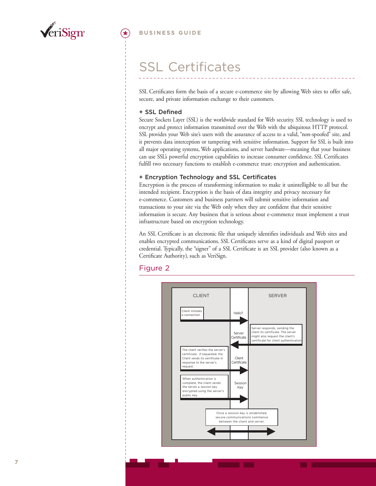

 $\star$ 

# SSL Certificates

SSL Certificates form the basis of a secure e-commerce site by allowing Web sites to offer safe, secure, and private information exchange to their customers.

### **+ SSL Defined**

Secure Sockets Layer (SSL) is the worldwide standard for Web security. SSL technology is used to encrypt and protect information transmitted over the Web with the ubiquitous HTTP protocol. SSL provides your Web site's users with the assurance of access to a valid, "non-spoofed" site, and it prevents data interception or tampering with sensitive information. Support for SSL is built into all major operating systems, Web applications, and server hardware—meaning that your business can use SSL's powerful encryption capabilities to increase consumer confidence. SSL Certificates fulfill two necessary functions to establish e-commerce trust: encryption and authentication.

### **+ Encryption Technology and SSL Certificates**

Encryption is the process of transforming information to make it unintelligible to all but the intended recipient. Encryption is the basis of data integrity and privacy necessary for e-commerce. Customers and business partners will submit sensitive information and transactions to your site via the Web only when they are confident that their sensitive information is secure. Any business that is serious about e-commerce must implement a trust infrastructure based on encryption technology.

An SSL Certificate is an electronic file that uniquely identifies individuals and Web sites and enables encrypted communications. SSL Certificates serve as a kind of digital passport or credential. Typically, the "signer" of a SSL Certificate is an SSL provider (also known as a Certificate Authority), such as VeriSign.

### Figure 2

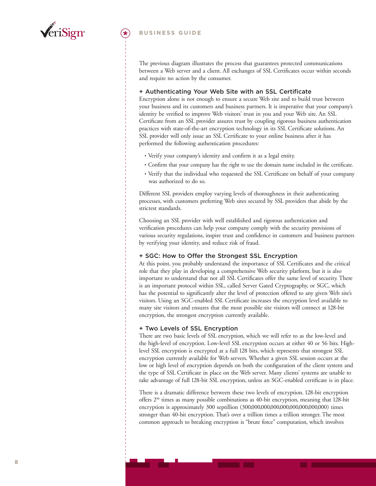

The previous diagram illustrates the process that guarantees protected communications between a Web server and a client. All exchanges of SSL Certificates occur within seconds and require no action by the consumer.

#### **+ Authenticating Your Web Site with an SSL Certificate**

Encryption alone is not enough to ensure a secure Web site and to build trust between your business and its customers and business partners. It is imperative that your company's identity be verified to improve Web visitors' trust in you and your Web site. An SSL Certificate from an SSL provider assures trust by coupling rigorous business authentication practices with state-of-the-art encryption technology in its SSL Certificate solutions. An SSL provider will only issue an SSL Certificate to your online business after it has performed the following authentication procedures:

- Verify your company's identity and confirm it as a legal entity.
- Confirm that your company has the right to use the domain name included in the certificate.
- Verify that the individual who requested the SSL Certificate on behalf of your company was authorized to do so.

Different SSL providers employ varying levels of thoroughness in their authenticating processes, with customers preferring Web sites secured by SSL providers that abide by the strictest standards.

Choosing an SSL provider with well established and rigorous authentication and verification procedures can help your company comply with the security provisions of various security regulations, inspire trust and confidence in customers and business partners by verifying your identity, and reduce risk of fraud.

#### **+ SGC: How to Offer the Strongest SSL Encryption**

At this point, you probably understand the importance of SSL Certificates and the critical role that they play in developing a comprehensive Web security platform, but it is also important to understand that not all SSL Certificates offer the same level of security. There is an important protocol within SSL, called Server Gated Cryptography, or SGC, which has the potential to significantly alter the level of protection offered to any given Web site's visitors. Using an SGC-enabled SSL Certificate increases the encryption level available to many site visitors and ensures that the most possible site visitors will connect at 128-bit encryption, the strongest encryption currently available.

#### **+ Two Levels of SSL Encryption**

There are two basic levels of SSL encryption, which we will refer to as the low-level and the high-level of encryption. Low-level SSL encryption occurs at either 40 or 56 bits. Highlevel SSL encryption is encrypted at a full 128 bits, which represents that strongest SSL encryption currently available for Web servers. Whether a given SSL session occurs at the low or high level of encryption depends on both the configuration of the client system and the type of SSL Certificate in place on the Web server. Many clients' systems are unable to take advantage of full 128-bit SSL encryption, unless an SGC-enabled certificate is in place.

There is a dramatic difference between these two levels of encryption. 128-bit encryption offers 288 times as many possible combinations as 40-bit encryption, meaning that 128-bit encryption is approximately 300 septillion (300,000,000,000,000,000,000,000,000) times stronger than 40-bit encryption. That's over a trillion times a trillion stronger. The most common approach to breaking encryption is "brute force" computation, which involves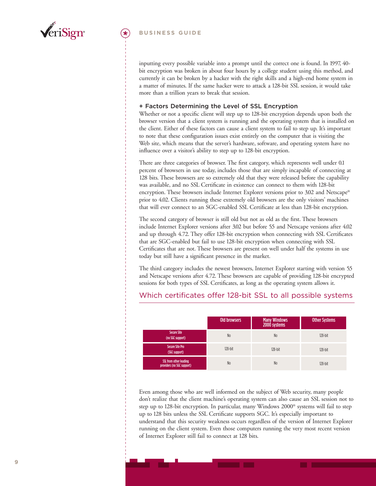

inputting every possible variable into a prompt until the correct one is found. In 1997, 40 bit encryption was broken in about four hours by a college student using this method, and currently it can be broken by a hacker with the right skills and a high-end home system in a matter of minutes. If the same hacker were to attack a 128-bit SSL session, it would take more than a trillion years to break that session.

### **+ Factors Determining the Level of SSL Encryption**

Whether or not a specific client will step up to 128-bit encryption depends upon both the browser version that a client system is running and the operating system that is installed on the client. Either of these factors can cause a client system to fail to step up. It's important to note that these configuration issues exist entirely on the computer that is visiting the Web site, which means that the server's hardware, software, and operating system have no influence over a visitor's ability to step up to 128-bit encryption.

There are three categories of browser. The first category, which represents well under 0.1 percent of browsers in use today, includes those that are simply incapable of connecting at 128 bits. These browsers are so extremely old that they were released before the capability was available, and no SSL Certificate in existence can connect to them with 128-bit encryption. These browsers include Internet Explorer versions prior to 3.02 and Netscape® prior to 4.02. Clients running these extremely old browsers are the only visitors' machines that will ever connect to an SGC-enabled SSL Certificate at less than 128-bit encryption.

The second category of browser is still old but not as old as the first. These browsers include Internet Explorer versions after 3.02 but before 55 and Netscape versions after 4.02 and up through 4.72. They offer 128-bit encryption when connecting with SSL Certificates that are SGC-enabled but fail to use 128-bit encryption when connecting with SSL Certificates that are not. These browsers are present on well under half the systems in use today but still have a significant presence in the market.

The third category includes the newest browsers, Internet Explorer starting with version 55 and Netscape versions after 4.72. These browsers are capable of providing 128-bit encrypted sessions for both types of SSL Certificates, as long as the operating system allows it.

|                                                      | <b>Old browsers</b> | <b>Many Windows</b><br>2000 systems | <b>Other Systems</b> |
|------------------------------------------------------|---------------------|-------------------------------------|----------------------|
| <b>Secure Site</b><br>(no SGC support)               | N <sub>0</sub>      | N <sub>0</sub>                      | $128$ -bit           |
| <b>Secure Site Pro</b><br>(SGC support)              | $128-bit$           | $128-bit$                           | $128$ -bit           |
| SSL from other leading<br>providers (no SGC support) | N <sub>0</sub>      | N <sub>o</sub>                      | $128$ -bit           |

### Which certificates offer 128-bit SSL to all possible systems

Even among those who are well informed on the subject of Web security, many people don't realize that the client machine's operating system can also cause an SSL session not to step up to 128-bit encryption. In particular, many Windows 2000® systems will fail to step up to 128 bits unless the SSL Certificate supports SGC. It's especially important to understand that this security weakness occurs regardless of the version of Internet Explorer running on the client system. Even those computers running the very most recent version of Internet Explorer still fail to connect at 128 bits.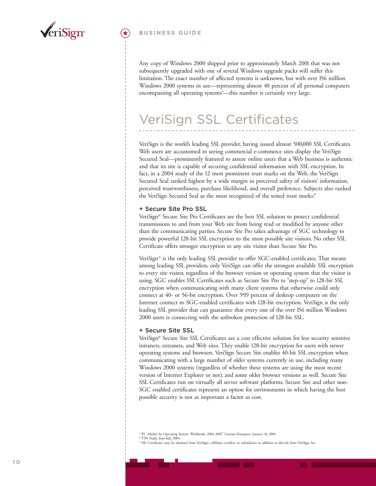

Any copy of Windows 2000 shipped prior to approximately March 2001 that was not subsequently upgraded with one of several Windows upgrade packs will suffer this limitation. The exact number of affected systems is unknown, but with over 156 million Windows 2000 systems in use—representing almost 40 percent of all personal computers encompassing all operating systems<sup>9</sup>—this number is certainly very large.

# VeriSign SSL Certificates

VeriSign is the world's leading SSL provider, having issued almost 500,000 SSL Certificates. Web users are accustomed to seeing commercial e-commerce sites display the VeriSign Secured Seal—prominently featured to assure online users that a Web business is authentic and that its site is capable of securing confidential information with SSL encryption. In fact, in a 2004 study of the 12 most prominent trust marks on the Web, the VeriSign Secured Seal ranked highest by a wide margin in perceived safety of visitors' information, perceived trustworthiness, purchase likelihood, and overall preference. Subjects also ranked the VeriSign Secured Seal as the most recognized of the tested trust marks.<sup>10</sup>

#### **+ Secure Site Pro SSL**

VeriSign® Secure Site Pro Certificates are the best SSL solution to protect confidential transmissions to and from your Web site from being read or modified by anyone other than the communicating parties. Secure Site Pro takes advantage of SGC technology to provide powerful 128-bit SSL encryption to the most possible site visitors. No other SSL Certificate offers stronger encryption to any site visitor than Secure Site Pro.

VeriSign<sup>1</sup> is the only leading SSL provider to offer SGC-enabled certificates. That means among leading SSL providers, only VeriSign can offer the strongest available SSL encryption to every site visitor, regardless of the browser version or operating system that the visitor is using. SGC enables SSL Certificates such as Secure Site Pro to "step-up" to 128-bit SSL encryption when communicating with many client systems that otherwise could only connect at 40- or 56-bit encryption. Over 99.9 percent of desktop computers on the Internet connect to SGC-enabled certificates with 128-bit encryption. VeriSign is the only leading SSL provider that can guarantee that every one of the over 156 million Windows 2000 users is connecting with the unbroken protection of 128-bit SSL.

#### **+ Secure Site SSL**

VeriSign® Secure Site SSL Certificates are a cost effective solution for less security sensitive intranets, extranets, and Web sites. They enable 128-bit encryption for users with newer operating systems and browsers. VeriSign Secure Site enables 40-bit SSL encryption when communicating with a large number of older systems currently in use, including many Windows 2000 systems (regardless of whether these systems are using the most recent version of Internet Explorer or not), and some older browser versions as well. Secure Site SSL Certificates run on virtually all server software platforms. Secure Site and other non-SGC enabled certificates represent an option for environments in which having the best possible security is not as important a factor as cost.

<sup>9</sup> "PC Market by Operating System: Worldwide, 2004-2007," Gartner-Dataquest, January 14, 2004 <sup>10</sup> TNS Study, June-July 2004

<sup>11</sup> SSL Certificates may be obtained from VeriSign's affiliates, resellers, or subsidiaries in addition to directly from VeriSign, Inc.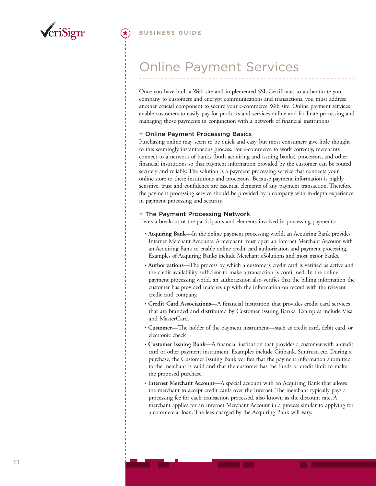

# Online Payment Services

Once you have built a Web site and implemented SSL Certificates to authenticate your company to customers and encrypt communications and transactions, you must address another crucial component to secure your e-commerce Web site. Online payment services enable customers to easily pay for products and services online and facilitate processing and managing those payments in conjunction with a network of financial institutions.

### **+ Online Payment Processing Basics**

Purchasing online may seem to be quick and easy, but most consumers give little thought to this seemingly instantaneous process. For e-commerce to work correctly, merchants connect to a network of banks (both acquiring and issuing banks), processors, and other financial institutions so that payment information provided by the customer can be routed securely and reliably. The solution is a payment processing service that connects your online store to these institutions and processors. Because payment information is highly sensitive, trust and confidence are essential elements of any payment transaction. Therefore the payment processing service should be provided by a company with in-depth experience in payment processing and security.

#### **+ The Payment Processing Network**

Here's a breakout of the participants and elements involved in processing payments:

- **Acquiring Bank—**In the online payment processing world, an Acquiring Bank provides Internet Merchant Accounts. A merchant must open an Internet Merchant Account with an Acquiring Bank to enable online credit card authorization and payment processing. Examples of Acquiring Banks include Merchant eSolutions and most major banks.
- **Authorizations—**The process by which a customer's credit card is verified as active and the credit availability sufficient to make a transaction is confirmed. In the online payment processing world, an authorization also verifies that the billing information the customer has provided matches up with the information on record with the relevent credit card company.
- **Credit Card Associations—**A financial institution that provides credit card services that are branded and distributed by Customer Issuing Banks. Examples include Visa and MasterCard.
- **Customer—**The holder of the payment instrument—such as credit card, debit card, or electronic check
- **Customer Issuing Bank—**A financial institution that provides a customer with a credit card or other payment instrument. Examples include Citibank, Suntrust, etc. During a purchase, the Customer Issuing Bank verifies that the payment information submitted to the merchant is valid and that the customer has the funds or credit limit to make the proposed purchase.
- **Internet Merchant Account—**A special account with an Acquiring Bank that allows the merchant to accept credit cards over the Internet. The merchant typically pays a processing fee for each transaction processed, also known as the discount rate. A merchant applies for an Internet Merchant Account in a process similar to applying for a commercial loan. The fees charged by the Acquiring Bank will vary.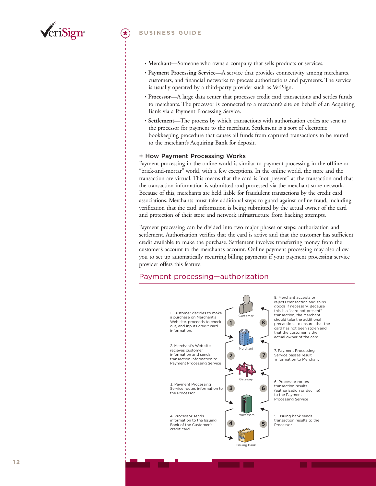

- **Merchant—**Someone who owns a company that sells products or services.
- **Payment Processing Service—**A service that provides connectivity among merchants, customers, and financial networks to process authorizations and payments. The service is usually operated by a third-party provider such as VeriSign.
- **Processor—**A large data center that processes credit card transactions and settles funds to merchants. The processor is connected to a merchant's site on behalf of an Acquiring Bank via a Payment Processing Service.
- **Settlement—**The process by which transactions with authorization codes are sent to the processor for payment to the merchant. Settlement is a sort of electronic bookkeeping procedure that causes all funds from captured transactions to be routed to the merchant's Acquiring Bank for deposit.

#### **+ How Payment Processing Works**

Payment processing in the online world is similar to payment processing in the offline or "brick-and-mortar" world, with a few exceptions. In the online world, the store and the transaction are virtual. This means that the card is "not present" at the transaction and that the transaction information is submitted and processed via the merchant store network. Because of this, merchants are held liable for fraudulent transactions by the credit card associations. Merchants must take additional steps to guard against online fraud, including verification that the card information is being submitted by the actual owner of the card and protection of their store and network infrastructure from hacking attempts.

Payment processing can be divided into two major phases or steps: authorization and settlement. Authorization verifies that the card is active and that the customer has sufficient credit available to make the purchase. Settlement involves transferring money from the customer's account to the merchant's account. Online payment processing may also allow you to set up automatically recurring billing payments if your payment processing service provider offers this feature.

### Payment processing—authorization

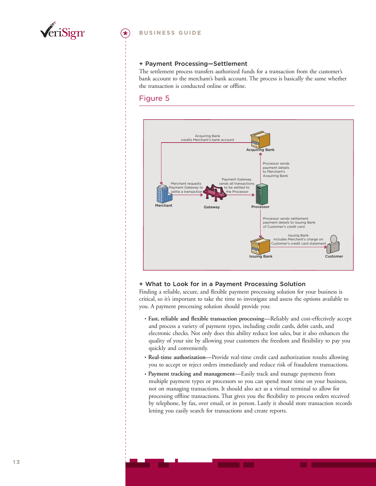

#### **+ Payment Processing—Settlement**

The settlement process transfers authorized funds for a transaction from the customer's bank account to the merchant's bank account. The process is basically the same whether the transaction is conducted online or offline.

### Figure 5



#### **+ What to Look for in a Payment Processing Solution**

Finding a reliable, secure, and flexible payment processing solution for your business is critical, so it's important to take the time to investigate and assess the options available to you. A payment processing solution should provide you:

- **Fast, reliable and flexible transaction processing—**Reliably and cost-effectively accept and process a variety of payment types, including credit cards, debit cards, and electronic checks. Not only does this ability reduce lost sales, but it also enhances the quality of your site by allowing your customers the freedom and flexibility to pay you quickly and conveniently.
- **Real-time authorization—**Provide real-time credit card authorization results allowing you to accept or reject orders immediately and reduce risk of fraudulent transactions.
- **Payment tracking and management—**Easily track and manage payments from multiple payment types or processors so you can spend more time on your business, not on managing transactions. It should also act as a virtual terminal to allow for processing offline transactions. That gives you the flexibility to process orders received by telephone, by fax, over email, or in person. Lastly it should store transaction records letting you easily search for transactions and create reports.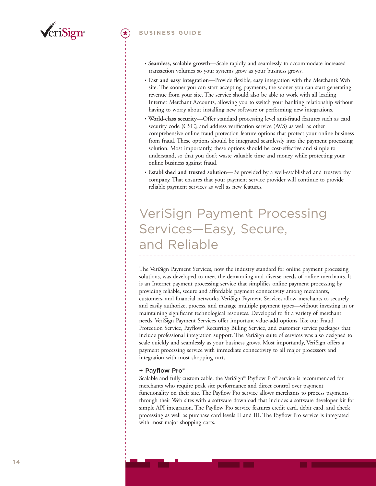

- S**eamless, scalable growth—**Scale rapidly and seamlessly to accommodate increased transaction volumes so your systems grow as your business grows.
- **Fast and easy integration—**Provide flexible, easy integration with the Merchant's Web site. The sooner you can start accepting payments, the sooner you can start generating revenue from your site. The service should also be able to work with all leading Internet Merchant Accounts, allowing you to switch your banking relationship without having to worry about installing new software or performing new integrations.
- **World-class security—**Offer standard processing level anti-fraud features such as card security code (CSC), and address verification service (AVS) as well as other comprehensive online fraud protection feature options that protect your online business from fraud. These options should be integrated seamlessly into the payment processing solution. Most importantly, these options should be cost-effective and simple to understand, so that you don't waste valuable time and money while protecting your online business against fraud.
- **Established and trusted solution—**Be provided by a well-established and trustworthy company. That ensures that your payment service provider will continue to provide reliable payment services as well as new features.

# VeriSign Payment Processing Services—Easy, Secure, and Reliable

The VeriSign Payment Services, now the industry standard for online payment processing solutions, was developed to meet the demanding and diverse needs of online merchants. It is an Internet payment processing service that simplifies online payment processing by providing reliable, secure and affordable payment connectivity among merchants, customers, and financial networks. VeriSign Payment Services allow merchants to securely and easily authorize, process, and manage multiple payment types—without investing in or maintaining significant technological resources. Developed to fit a variety of merchant needs, VeriSign Payment Services offer important value-add options, like our Fraud Protection Service, Payflow® Recurring Billing Service, and customer service packages that include professional integration support. The VeriSign suite of services was also designed to scale quickly and seamlessly as your business grows. Most importantly, VeriSign offers a payment processing service with immediate connectivity to all major processors and integration with most shopping carts.

### **+ Payflow Pro®**

Scalable and fully customizable, the VeriSign® Payflow Pro® service is recommended for merchants who require peak site performance and direct control over payment functionality on their site. The Payflow Pro service allows merchants to process payments through their Web sites with a software download that includes a software developer kit for simple API integration. The Payflow Pro service features credit card, debit card, and check processing as well as purchase card levels II and III. The Payflow Pro service is integrated with most major shopping carts.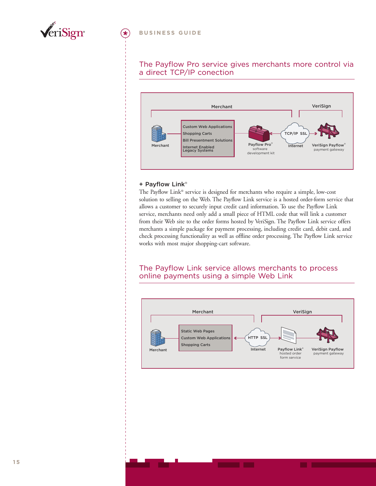

The Payflow Pro service gives merchants more control via a direct TCP/IP conection



#### **+ Payflow Link®**

The Payflow Link® service is designed for merchants who require a simple, low-cost solution to selling on the Web. The Payflow Link service is a hosted order-form service that allows a customer to securely input credit card information. To use the Payflow Link service, merchants need only add a small piece of HTML code that will link a customer from their Web site to the order forms hosted by VeriSign. The Payflow Link service offers merchants a simple package for payment processing, including credit card, debit card, and check processing functionality as well as offline order processing. The Payflow Link service works with most major shopping-cart software.

### The Payflow Link service allows merchants to process online payments using a simple Web Link

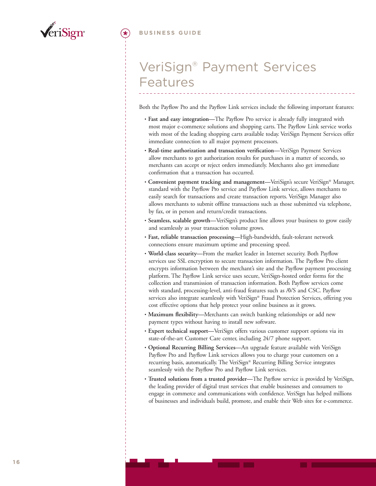

# VeriSign® Payment Services Features

Both the Payflow Pro and the Payflow Link services include the following important features:

- **Fast and easy integration—**The Payflow Pro service is already fully integrated with most major e-commerce solutions and shopping carts. The Payflow Link service works with most of the leading shopping carts available today. VeriSign Payment Services offer immediate connection to all major payment processors.
- **Real-time authorization and transaction verification—**VeriSign Payment Services allow merchants to get authorization results for purchases in a matter of seconds, so merchants can accept or reject orders immediately. Merchants also get immediate confirmation that a transaction has occurred.
- **Convenient payment tracking and management—**VeriSign's secure VeriSign® Manager, standard with the Payflow Pro service and Payflow Link service, allows merchants to easily search for transactions and create transaction reports. VeriSign Manager also allows merchants to submit offline transactions such as those submitted via telephone, by fax, or in person and return/credit transactions.
- **Seamless, scalable growth—**VeriSign's product line allows your business to grow easily and seamlessly as your transaction volume grows.
- **Fast, reliable transaction processing—**High-bandwidth, fault-tolerant network connections ensure maximum uptime and processing speed.
- **World-class security—**From the market leader in Internet security. Both Payflow services use SSL encryption to secure transaction information. The Payflow Pro client encrypts information between the merchant's site and the Payflow payment processing platform. The Payflow Link service uses secure, VeriSign-hosted order forms for the collection and transmission of transaction information. Both Payflow services come with standard, processing-level, anti-fraud features such as AVS and CSC. Payflow services also integrate seamlessly with VeriSign® Fraud Protection Services, offering you cost effective options that help protect your online business as it grows.
- **Maximum flexibility—**Merchants can switch banking relationships or add new payment types without having to install new software.
- **Expert technical support—**VeriSign offers various customer support options via its state-of-the-art Customer Care center, including 24/7 phone support.
- **Optional Recurring Billing Services—**An upgrade feature available with VeriSign Payflow Pro and Payflow Link services allows you to charge your customers on a recurring basis, automatically. The VeriSign® Recurring Billing Service integrates seamlessly with the Payflow Pro and Payflow Link services.
- **Trusted solutions from a trusted provider—**The Payflow service is provided by VeriSign, the leading provider of digital trust services that enable businesses and consumers to engage in commerce and communications with confidence. VeriSign has helped millions of businesses and individuals build, promote, and enable their Web sites for e-commerce.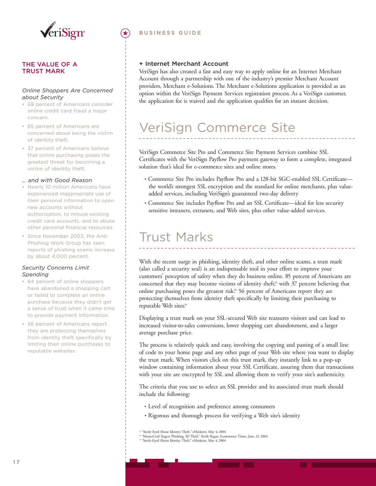

#### **THE VALUE OF A TRUST MARK**

#### *Online Shoppers Are Concerned about Security*

- 69 percent of Americans consider online credit card fraud a major concern.
- 85 percent of Americans are concerned about being the victim of identity theft.
- 37 percent of Americans believe that online purchasing poses the greatest threat for becoming a victim of identity theft.

#### *… and with Good Reason*

- Nearly 10 million Americans have experienced inappropriate use of their personal information to open new accounts without authorization, to misuse existing credit card accounts, and to abuse other personal financial resources.
- Since November 2003, the Anti-Phishing Work Group has seen reports of phishing scams increase by about 4,000 percent.

#### *Security Concerns Limit Spending*

- 64 percent of online shoppers have abandoned a shopping cart or failed to complete an online purchase because they didn't get a sense of trust when it came time to provide payment information.
- 56 percent of Americans report they are protecting themselves from identity theft specifically by limiting their online purchases to reputable websites.

### **BUSINESS GUIDE**

### **+ Internet Merchant Account**

VeriSign has also created a fast and easy way to apply online for an Internet Merchant Account through a partnership with one of the industry's premier Merchant Account providers, Merchant e-Solutions. The Merchant e-Solutions application is provided as an option within the VeriSign Payment Services registration process. As a VeriSign customer, the application fee is waived and the application qualifies for an instant decision.

# VeriSign Commerce Site

VeriSign Commerce Site Pro and Commerce Site Payment Services combine SSL Certificates with the VeriSign Payflow Pro payment gateway to form a complete, integrated solution that's ideal for e-commerce sites and online stores.

- Commerce Site Pro includes Payflow Pro and a 128-bit SGC-enabled SSL Certificate the world's strongest SSL encryption and the standard for online merchants, plus valueadded services, including VeriSign's guaranteed two-day delivery
- Commerce Site includes Payflow Pro and an SSL Certificate—ideal for less security sensitive intranets, extranets, and Web sites, plus other value-added services.

### Trust Marks

With the recent surge in phishing, identity theft, and other online scams, a trust mark (also called a security seal) is an indispensable tool in your effort to improve your customers' perception of safety when they do business online. 85 percent of Americans are concerned that they may become victims of identity theft,<sup>2</sup> with 37 percent believing that online purchasing poses the greatest risk.<sup>13</sup> 56 percent of Americans report they are protecting themselves from identity theft specifically by limiting their purchasing to reputable Web sites.<sup>14</sup>

Displaying a trust mark on your SSL-secured Web site reassures visitors and can lead to increased visitor-to-sales conversions, lower shopping cart abandonment, and a larger average purchase price.

The process is relatively quick and easy, involving the copying and pasting of a small line of code to your home page and any other page of your Web site where you want to display the trust mark. When visitors click on this trust mark, they instantly link to a pop-up window containing information about your SSL Certificate, assuring them that transactions with your site are encrypted by SSL and allowing them to verify your site's authenticity.

The criteria that you use to select an SSL provider and its associated trust mark should include the following:

- Level of recognition and preference among consumers
- Rigorous and thorough process for verifying a Web site's identity

<sup>12 "</sup>Steely-Eyed About Identity Theft," eMarketer, May 4, 2004<br><sup>13 "</sup>MasterCard Targets Phishing, ID Theft," Keith Regan, Ecommerce Times, June 23, 2004

<sup>14</sup> "Steely-Eyed About Identity Theft," eMarketer, May 4, 2004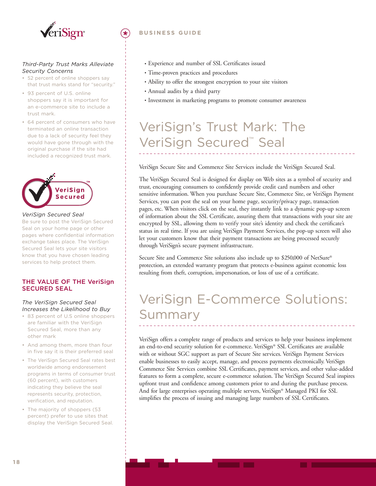

#### *Third-Party Trust Marks Alleviate Security Concerns*

- 52 percent of online shoppers say that trust marks stand for "security."
- 93 percent of U.S. online shoppers say it is important for an e-commerce site to include a trust mark.
- 64 percent of consumers who have terminated an online transaction due to a lack of security feel they would have gone through with the original purchase if the site had included a recognized trust mark.



#### *VeriSign Secured Seal*

Be sure to post the VeriSign Secured Seal on your home page or other pages where confidential information exchange takes place. The VeriSign Secured Seal lets your site visitors know that you have chosen leading services to help protect them.

### **THE VALUE OF THE VeriSign SECURED SEAL**

#### *The VeriSign Secured Seal Increases the Likelihood to Buy*

- 83 percent of U.S online shoppers are familiar with the VeriSign Secured Seal, more than any other mark
- And among them, more than four in five say it is their preferred seal
- The VeriSign Secured Seal rates best worldwide among endoresement programs in terms of consumer trust (60 percent), with customers indicating they believe the seal represents security, protection, verification, and reputation.
- The majority of shoppers (53 percent) prefer to use sites that display the VeriSign Secured Seal.

### **BUSINESS GUIDE**

- Experience and number of SSL Certificates issued
- Time-proven practices and procedures
- Ability to offer the strongest encryption to your site visitors
- Annual audits by a third party
- Investment in marketing programs to promote consumer awareness

# VeriSign's Trust Mark: The VeriSign Secured<sup>™</sup> Seal

VeriSign Secure Site and Commerce Site Services include the VeriSign Secured Seal.

The VeriSign Secured Seal is designed for display on Web sites as a symbol of security and trust, encouraging consumers to confidently provide credit card numbers and other sensitive information. When you purchase Secure Site, Commerce Site, or VeriSign Payment Services, you can post the seal on your home page, security/privacy page, transaction pages, etc. When visitors click on the seal, they instantly link to a dynamic pop-up screen of information about the SSL Certificate, assuring them that transactions with your site are encrypted by SSL, allowing them to verify your site's identity and check the certificate's status in real time. If you are using VeriSign Payment Services, the pop-up screen will also let your customers know that their payment transactions are being processed securely through VeriSign's secure payment infrastructure.

Secure Site and Commerce Site solutions also include up to \$250,000 of NetSure® protection, an extended warranty program that protects e-business against economic loss resulting from theft, corruption, impersonation, or loss of use of a certificate.

# VeriSign E-Commerce Solutions: Summary

VeriSign offers a complete range of products and services to help your business implement an end-to-end security solution for e-commerce. VeriSign® SSL Certificates are available with or without SGC support as part of Secure Site services. VeriSign Payment Services enable businesses to easily accept, manage, and process payments electronically. VeriSign Commerce Site Services combine SSL Certificates, payment services, and other value-added features to form a complete, secure e-commerce solution. The VeriSign Secured Seal inspires upfront trust and confidence among customers prior to and during the purchase process. And for large enterprises operating multiple servers, VeriSign® Managed PKI for SSL simplifies the process of issuing and managing large numbers of SSL Certificates.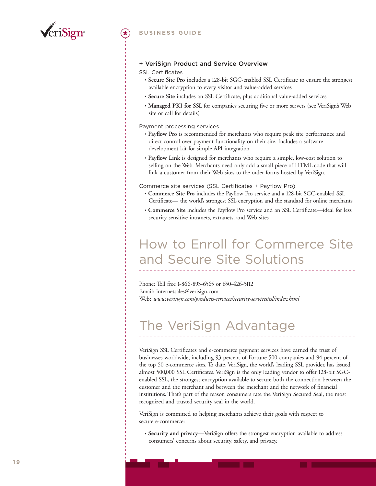

#### **+ VeriSign Product and Service Overview**

SSL Certificates

- **Secure Site Pro** includes a 128-bit SGC-enabled SSL Certificate to ensure the strongest available encryption to every visitor and value-added services
- **Secure Site** includes an SSL Certificate, plus additional value-added services
- **Managed PKI for SSL** for companies securing five or more servers (see VeriSign's Web site or call for details)

Payment processing services

- **Payflow Pro** is recommended for merchants who require peak site performance and direct control over payment functionality on their site. Includes a software development kit for simple API integration.
- **Payflow Link** is designed for merchants who require a simple, low-cost solution to selling on the Web. Merchants need only add a small piece of HTML code that will link a customer from their Web sites to the order forms hosted by VeriSign.

Commerce site services (SSL Certificates + Payflow Pro)

- **Commerce Site Pro** includes the Payflow Pro service and a 128-bit SGC-enabled SSL Certificate— the world's strongest SSL encryption and the standard for online merchants
- **Commerce Site** includes the Payflow Pro service and an SSL Certificate—ideal for less security sensitive intranets, extranets, and Web sites

# How to Enroll for Commerce Site and Secure Site Solutions

Phone: Toll free 1-866-893-6565 or 650-426-5112 Email: internetsales@verisign.com Web: *www.verisign.com/products-services/security-services/ssl/index.html*

# The VeriSign Advantage

VeriSign SSL Certificates and e-commerce payment services have earned the trust of businesses worldwide, including 93 percent of Fortune 500 companies and 94 percent of the top 50 e-commerce sites. To date, VeriSign, the world's leading SSL provider, has issued almost 500,000 SSL Certificates. VeriSign is the only leading vendor to offer 128-bit SGCenabled SSL, the strongest encryption available to secure both the connection between the customer and the merchant and between the merchant and the network of financial institutions. That's part of the reason consumers rate the VeriSign Secured Seal, the most recognized and trusted security seal in the world.

VeriSign is committed to helping merchants achieve their goals with respect to secure e-commerce:

• **Security and privacy—**VeriSign offers the strongest encryption available to address consumers' concerns about security, safety, and privacy.